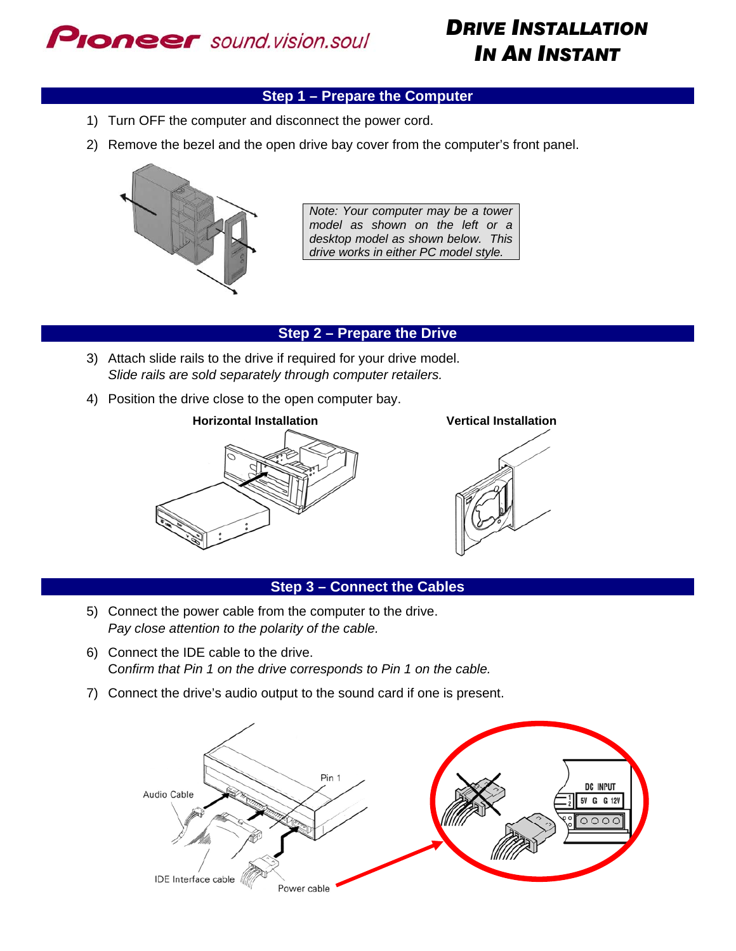

# *DRIVE INSTALLATION IN AN INSTANT*

# **Step 1 – Prepare the Computer**

- 1) Turn OFF the computer and disconnect the power cord.
- 2) Remove the bezel and the open drive bay cover from the computer's front panel.



*Note: Your computer may be a tower model as shown on the left or a desktop model as shown below. This drive works in either PC model style.* 

### **Step 2 – Prepare the Drive**

- 3) Attach slide rails to the drive if required for your drive model. *Slide rails are sold separately through computer retailers.*
- 4) Position the drive close to the open computer bay.



#### **Step 3 – Connect the Cables**

- 5) Connect the power cable from the computer to the drive. *Pay close attention to the polarity of the cable.*
- 6) Connect the IDE cable to the drive. C*onfirm that Pin 1 on the drive corresponds to Pin 1 on the cable.*
- 7) Connect the drive's audio output to the sound card if one is present.